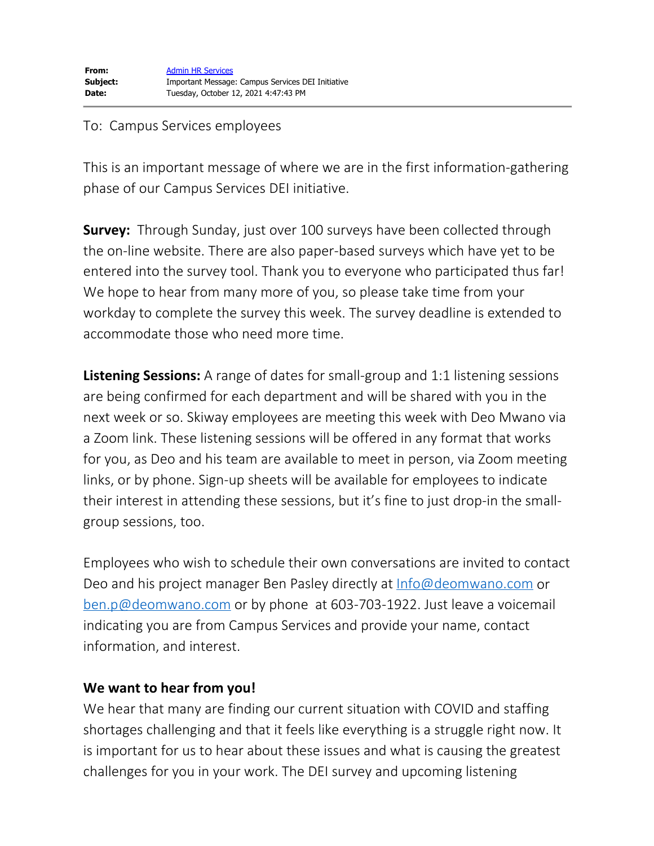## To: Campus Services employees

This is an important message of where we are in the first information-gathering phase of our Campus Services DEI initiative.

**Survey:** Through Sunday, just over 100 surveys have been collected through the on-line website. There are also paper-based surveys which have yet to be entered into the survey tool. Thank you to everyone who participated thus far! We hope to hear from many more of you, so please take time from your workday to complete the survey this week. The survey deadline is extended to accommodate those who need more time.

**Listening Sessions:** A range of dates for small-group and 1:1 listening sessions are being confirmed for each department and will be shared with you in the next week or so. Skiway employees are meeting this week with Deo Mwano via a Zoom link. These listening sessions will be offered in any format that works for you, as Deo and his team are available to meet in person, via Zoom meeting links, or by phone. Sign-up sheets will be available for employees to indicate their interest in attending these sessions, but it's fine to just drop-in the smallgroup sessions, too.

Employees who wish to schedule their own conversations are invited to contact Deo and his project manager Ben Pasley directly at [Info@deomwano.com](mailto:Info@deomwano.com) or [ben.p@deomwano.com](mailto:ben.p@deomwano.com) or by phone at 603-703-1922. Just leave a voicemail indicating you are from Campus Services and provide your name, contact information, and interest.

## **We want to hear from you!**

We hear that many are finding our current situation with COVID and staffing shortages challenging and that it feels like everything is a struggle right now. It is important for us to hear about these issues and what is causing the greatest challenges for you in your work. The DEI survey and upcoming listening